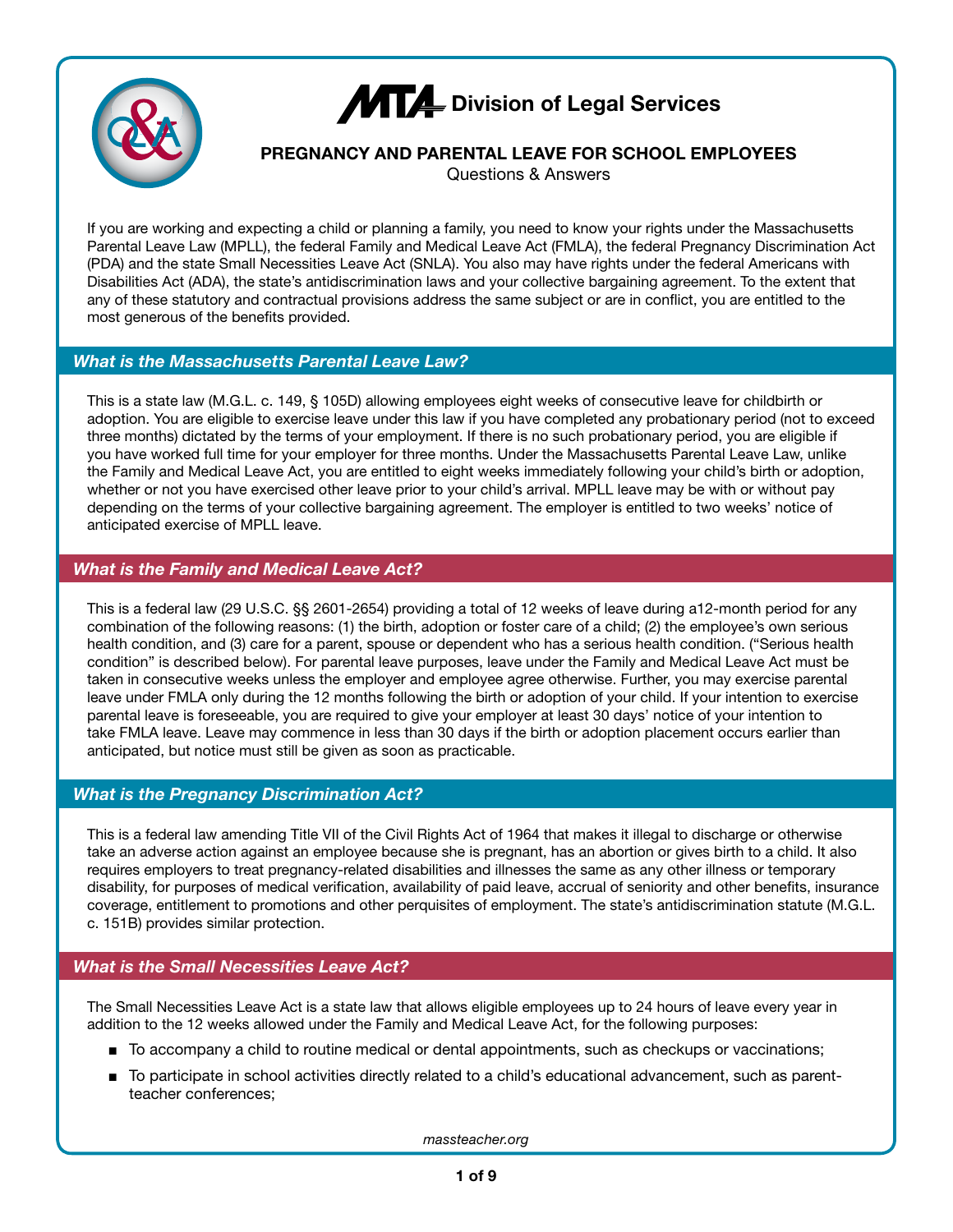

# **MT4** Division of Legal Services

# **PREGNANCY AND PARENTAL LEAVE FOR SCHOOL EMPLOYEES**

Questions & Answers

If you are working and expecting a child or planning a family, you need to know your rights under the Massachusetts Parental Leave Law (MPLL), the federal Family and Medical Leave Act (FMLA), the federal Pregnancy Discrimination Act (PDA) and the state Small Necessities Leave Act (SNLA). You also may have rights under the federal Americans with Disabilities Act (ADA), the state's antidiscrimination laws and your collective bargaining agreement. To the extent that any of these statutory and contractual provisions address the same subject or are in conflict, you are entitled to the most generous of the benefits provided.

#### *What is the Massachusetts Parental Leave Law?*

This is a state law (M.G.L. c. 149, § 105D) allowing employees eight weeks of consecutive leave for childbirth or adoption. You are eligible to exercise leave under this law if you have completed any probationary period (not to exceed three months) dictated by the terms of your employment. If there is no such probationary period, you are eligible if you have worked full time for your employer for three months. Under the Massachusetts Parental Leave Law, unlike the Family and Medical Leave Act, you are entitled to eight weeks immediately following your child's birth or adoption, whether or not you have exercised other leave prior to your child's arrival. MPLL leave may be with or without pay depending on the terms of your collective bargaining agreement. The employer is entitled to two weeks' notice of anticipated exercise of MPLL leave.

## *What is the Family and Medical Leave Act?*

This is a federal law (29 U.S.C. §§ 2601-2654) providing a total of 12 weeks of leave during a12-month period for any combination of the following reasons: (1) the birth, adoption or foster care of a child; (2) the employee's own serious health condition, and (3) care for a parent, spouse or dependent who has a serious health condition. ("Serious health condition" is described below). For parental leave purposes, leave under the Family and Medical Leave Act must be taken in consecutive weeks unless the employer and employee agree otherwise. Further, you may exercise parental leave under FMLA only during the 12 months following the birth or adoption of your child. If your intention to exercise parental leave is foreseeable, you are required to give your employer at least 30 days' notice of your intention to take FMLA leave. Leave may commence in less than 30 days if the birth or adoption placement occurs earlier than anticipated, but notice must still be given as soon as practicable.

## *What is the Pregnancy Discrimination Act?*

This is a federal law amending Title VII of the Civil Rights Act of 1964 that makes it illegal to discharge or otherwise take an adverse action against an employee because she is pregnant, has an abortion or gives birth to a child. It also requires employers to treat pregnancy-related disabilities and illnesses the same as any other illness or temporary disability, for purposes of medical verification, availability of paid leave, accrual of seniority and other benefits, insurance coverage, entitlement to promotions and other perquisites of employment. The state's antidiscrimination statute (M.G.L. c. 151B) provides similar protection.

# *What is the Small Necessities Leave Act?*

The Small Necessities Leave Act is a state law that allows eligible employees up to 24 hours of leave every year in addition to the 12 weeks allowed under the Family and Medical Leave Act, for the following purposes:

- To accompany a child to routine medical or dental appointments, such as checkups or vaccinations;
- To participate in school activities directly related to a child's educational advancement, such as parentteacher conferences;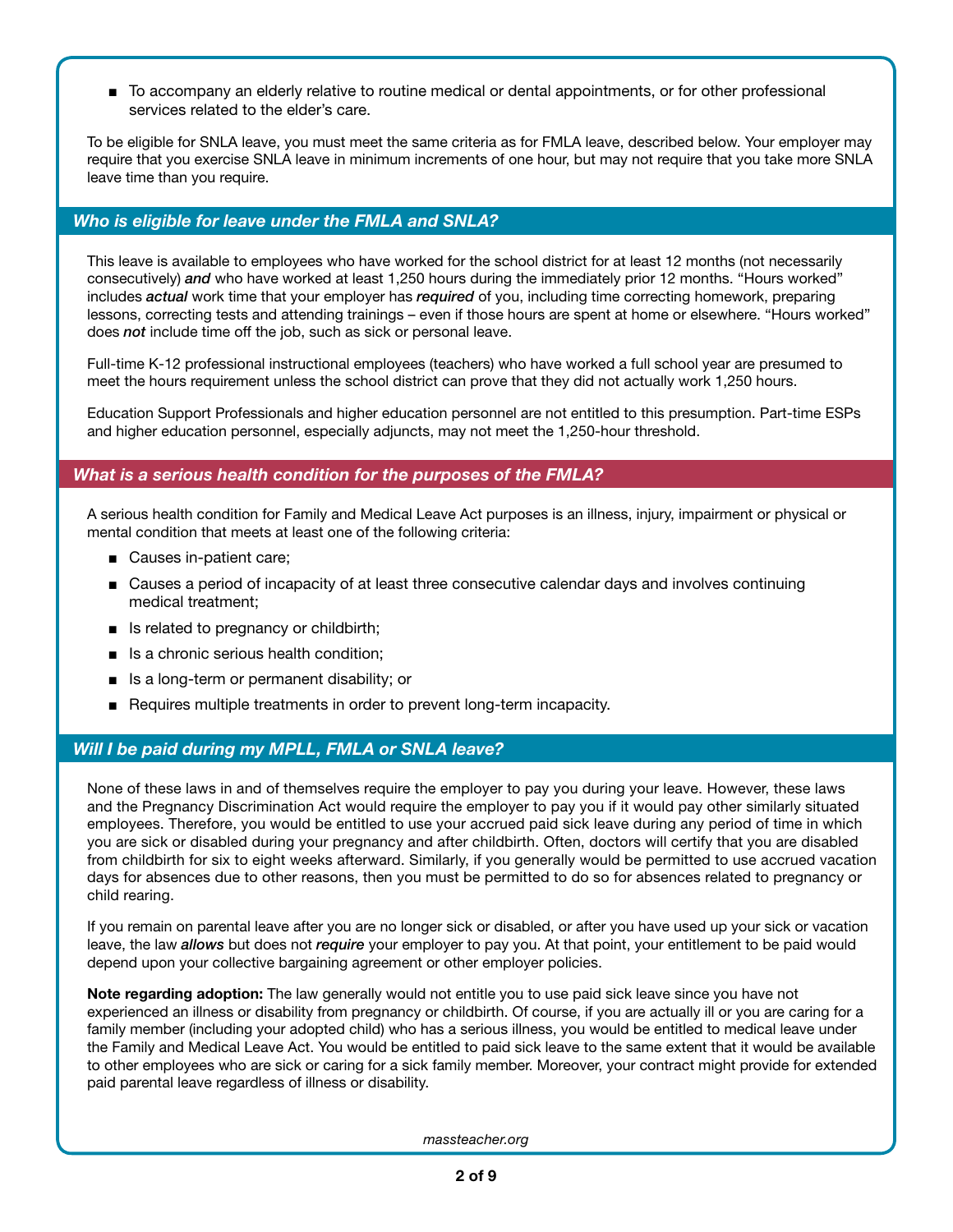■ To accompany an elderly relative to routine medical or dental appointments, or for other professional services related to the elder's care.

To be eligible for SNLA leave, you must meet the same criteria as for FMLA leave, described below. Your employer may require that you exercise SNLA leave in minimum increments of one hour, but may not require that you take more SNLA leave time than you require.

#### *Who is eligible for leave under the FMLA and SNLA?*

This leave is available to employees who have worked for the school district for at least 12 months (not necessarily consecutively) *and* who have worked at least 1,250 hours during the immediately prior 12 months. "Hours worked" includes *actual* work time that your employer has *required* of you, including time correcting homework, preparing lessons, correcting tests and attending trainings – even if those hours are spent at home or elsewhere. "Hours worked" does *not* include time off the job, such as sick or personal leave.

Full-time K-12 professional instructional employees (teachers) who have worked a full school year are presumed to meet the hours requirement unless the school district can prove that they did not actually work 1,250 hours.

Education Support Professionals and higher education personnel are not entitled to this presumption. Part-time ESPs and higher education personnel, especially adjuncts, may not meet the 1,250-hour threshold.

#### *What is a serious health condition for the purposes of the FMLA?*

A serious health condition for Family and Medical Leave Act purposes is an illness, injury, impairment or physical or mental condition that meets at least one of the following criteria:

- Causes in-patient care:
- Causes a period of incapacity of at least three consecutive calendar days and involves continuing medical treatment;
- Is related to pregnancy or childbirth;
- Is a chronic serious health condition:
- Is a long-term or permanent disability; or
- Requires multiple treatments in order to prevent long-term incapacity.

#### *Will I be paid during my MPLL, FMLA or SNLA leave?*

None of these laws in and of themselves require the employer to pay you during your leave. However, these laws and the Pregnancy Discrimination Act would require the employer to pay you if it would pay other similarly situated employees. Therefore, you would be entitled to use your accrued paid sick leave during any period of time in which you are sick or disabled during your pregnancy and after childbirth. Often, doctors will certify that you are disabled from childbirth for six to eight weeks afterward. Similarly, if you generally would be permitted to use accrued vacation days for absences due to other reasons, then you must be permitted to do so for absences related to pregnancy or child rearing.

If you remain on parental leave after you are no longer sick or disabled, or after you have used up your sick or vacation leave, the law *allows* but does not *require* your employer to pay you. At that point, your entitlement to be paid would depend upon your collective bargaining agreement or other employer policies.

**Note regarding adoption:** The law generally would not entitle you to use paid sick leave since you have not experienced an illness or disability from pregnancy or childbirth. Of course, if you are actually ill or you are caring for a family member (including your adopted child) who has a serious illness, you would be entitled to medical leave under the Family and Medical Leave Act. You would be entitled to paid sick leave to the same extent that it would be available to other employees who are sick or caring for a sick family member. Moreover, your contract might provide for extended paid parental leave regardless of illness or disability.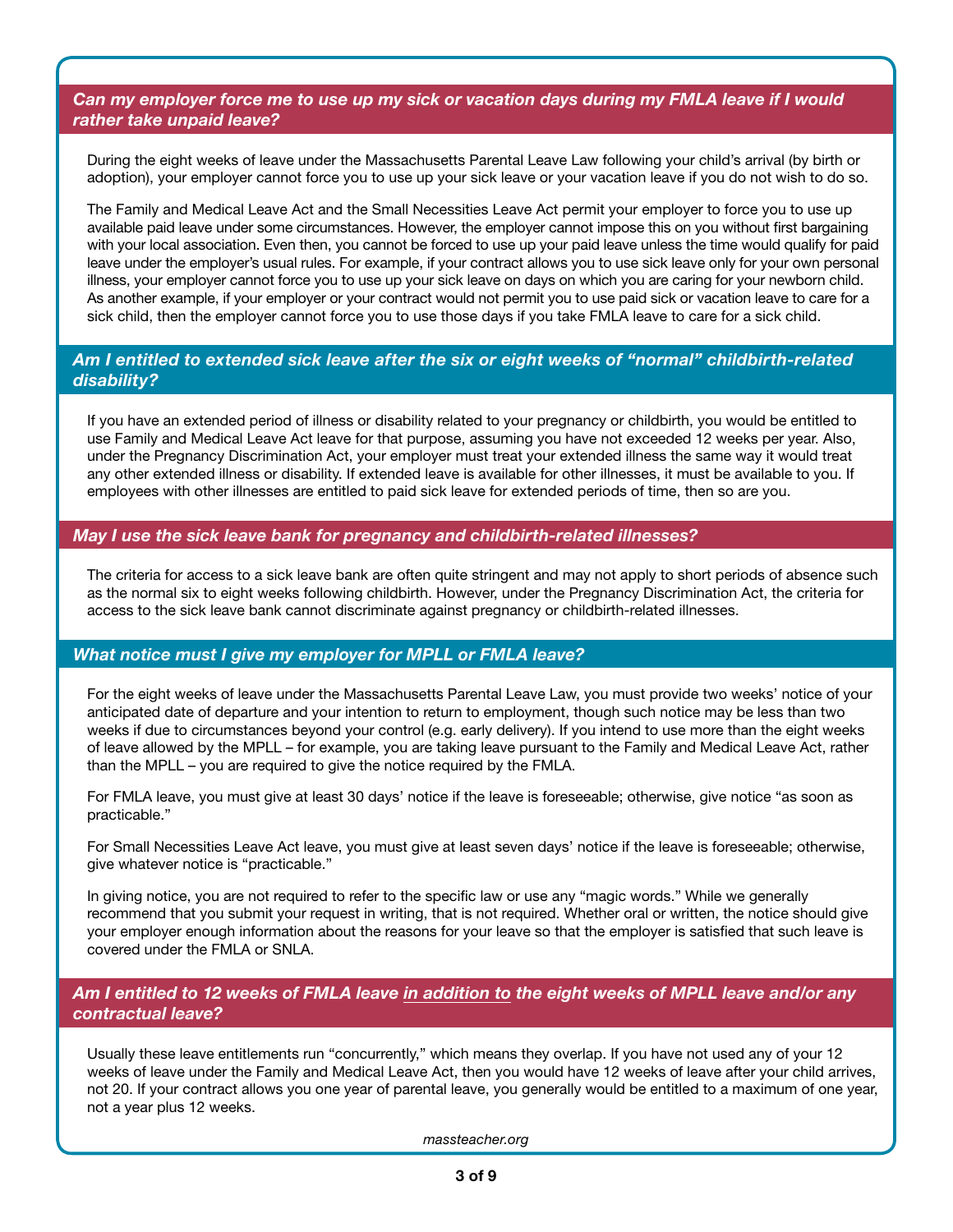*Can my employer force me to use up my sick or vacation days during my FMLA leave if I would rather take unpaid leave?*

During the eight weeks of leave under the Massachusetts Parental Leave Law following your child's arrival (by birth or adoption), your employer cannot force you to use up your sick leave or your vacation leave if you do not wish to do so.

The Family and Medical Leave Act and the Small Necessities Leave Act permit your employer to force you to use up available paid leave under some circumstances. However, the employer cannot impose this on you without first bargaining with your local association. Even then, you cannot be forced to use up your paid leave unless the time would qualify for paid leave under the employer's usual rules. For example, if your contract allows you to use sick leave only for your own personal illness, your employer cannot force you to use up your sick leave on days on which you are caring for your newborn child. As another example, if your employer or your contract would not permit you to use paid sick or vacation leave to care for a sick child, then the employer cannot force you to use those days if you take FMLA leave to care for a sick child.

## *Am I entitled to extended sick leave after the six or eight weeks of "normal" childbirth-related disability?*

If you have an extended period of illness or disability related to your pregnancy or childbirth, you would be entitled to use Family and Medical Leave Act leave for that purpose, assuming you have not exceeded 12 weeks per year. Also, under the Pregnancy Discrimination Act, your employer must treat your extended illness the same way it would treat any other extended illness or disability. If extended leave is available for other illnesses, it must be available to you. If employees with other illnesses are entitled to paid sick leave for extended periods of time, then so are you.

#### *May I use the sick leave bank for pregnancy and childbirth-related illnesses?*

The criteria for access to a sick leave bank are often quite stringent and may not apply to short periods of absence such as the normal six to eight weeks following childbirth. However, under the Pregnancy Discrimination Act, the criteria for access to the sick leave bank cannot discriminate against pregnancy or childbirth-related illnesses.

#### *What notice must I give my employer for MPLL or FMLA leave?*

For the eight weeks of leave under the Massachusetts Parental Leave Law, you must provide two weeks' notice of your anticipated date of departure and your intention to return to employment, though such notice may be less than two weeks if due to circumstances beyond your control (e.g. early delivery). If you intend to use more than the eight weeks of leave allowed by the MPLL – for example, you are taking leave pursuant to the Family and Medical Leave Act, rather than the MPLL – you are required to give the notice required by the FMLA.

For FMLA leave, you must give at least 30 days' notice if the leave is foreseeable; otherwise, give notice "as soon as practicable."

For Small Necessities Leave Act leave, you must give at least seven days' notice if the leave is foreseeable; otherwise, give whatever notice is "practicable."

In giving notice, you are not required to refer to the specific law or use any "magic words." While we generally recommend that you submit your request in writing, that is not required. Whether oral or written, the notice should give your employer enough information about the reasons for your leave so that the employer is satisfied that such leave is covered under the FMLA or SNLA.

#### *Am I entitled to 12 weeks of FMLA leave in addition to the eight weeks of MPLL leave and/or any contractual leave?*

Usually these leave entitlements run "concurrently," which means they overlap. If you have not used any of your 12 weeks of leave under the Family and Medical Leave Act, then you would have 12 weeks of leave after your child arrives, not 20. If your contract allows you one year of parental leave, you generally would be entitled to a maximum of one year, not a year plus 12 weeks.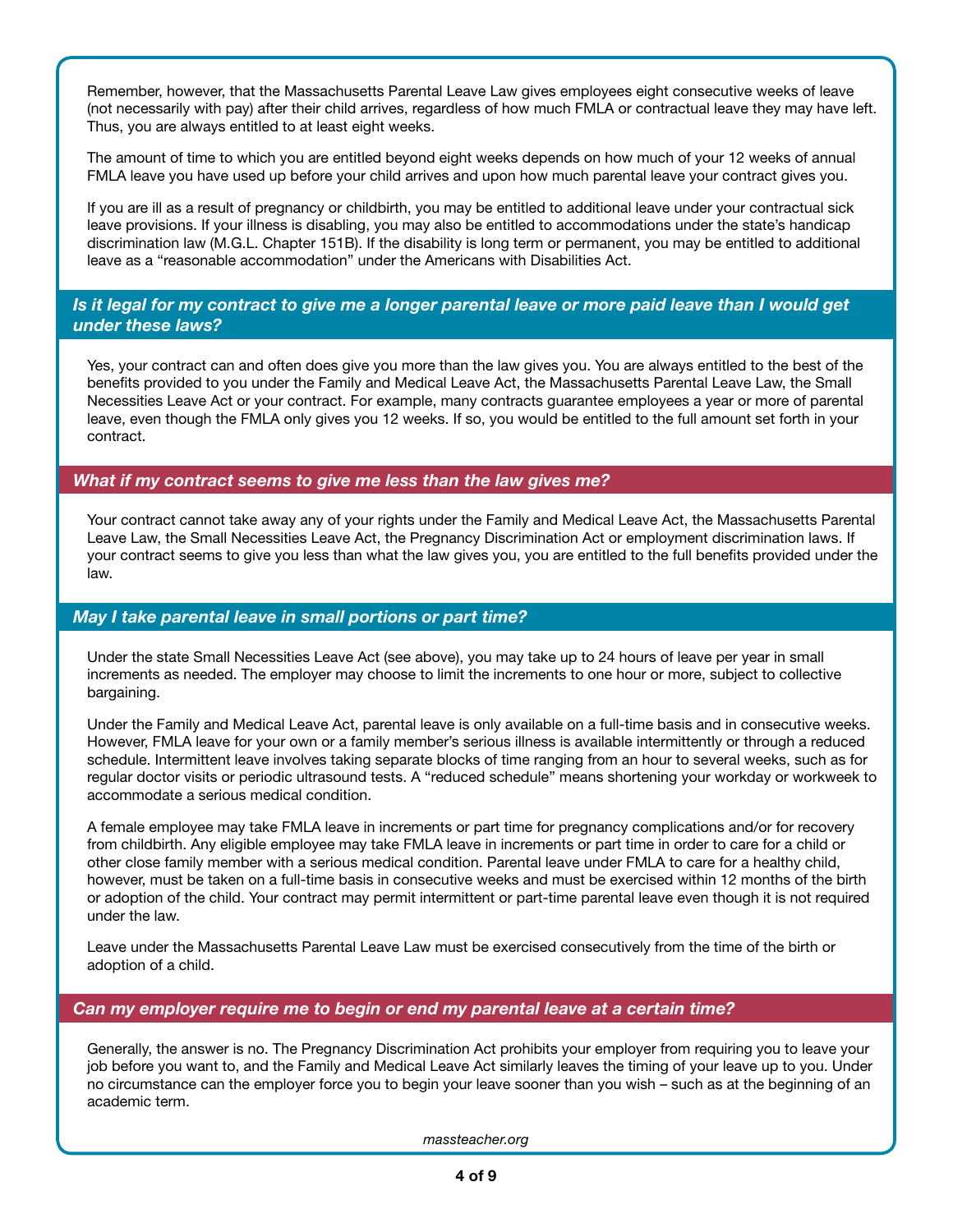Remember, however, that the Massachusetts Parental Leave Law gives employees eight consecutive weeks of leave (not necessarily with pay) after their child arrives, regardless of how much FMLA or contractual leave they may have left. Thus, you are always entitled to at least eight weeks.

The amount of time to which you are entitled beyond eight weeks depends on how much of your 12 weeks of annual FMLA leave you have used up before your child arrives and upon how much parental leave your contract gives you.

If you are ill as a result of pregnancy or childbirth, you may be entitled to additional leave under your contractual sick leave provisions. If your illness is disabling, you may also be entitled to accommodations under the state's handicap discrimination law (M.G.L. Chapter 151B). If the disability is long term or permanent, you may be entitled to additional leave as a "reasonable accommodation" under the Americans with Disabilities Act.

#### *Is it legal for my contract to give me a longer parental leave or more paid leave than I would get under these laws?*

Yes, your contract can and often does give you more than the law gives you. You are always entitled to the best of the benefits provided to you under the Family and Medical Leave Act, the Massachusetts Parental Leave Law, the Small Necessities Leave Act or your contract. For example, many contracts guarantee employees a year or more of parental leave, even though the FMLA only gives you 12 weeks. If so, you would be entitled to the full amount set forth in your contract.

#### *What if my contract seems to give me less than the law gives me?*

Your contract cannot take away any of your rights under the Family and Medical Leave Act, the Massachusetts Parental Leave Law, the Small Necessities Leave Act, the Pregnancy Discrimination Act or employment discrimination laws. If your contract seems to give you less than what the law gives you, you are entitled to the full benefits provided under the law.

#### *May I take parental leave in small portions or part time?*

Under the state Small Necessities Leave Act (see above), you may take up to 24 hours of leave per year in small increments as needed. The employer may choose to limit the increments to one hour or more, subject to collective bargaining.

Under the Family and Medical Leave Act, parental leave is only available on a full-time basis and in consecutive weeks. However, FMLA leave for your own or a family member's serious illness is available intermittently or through a reduced schedule. Intermittent leave involves taking separate blocks of time ranging from an hour to several weeks, such as for regular doctor visits or periodic ultrasound tests. A "reduced schedule" means shortening your workday or workweek to accommodate a serious medical condition.

A female employee may take FMLA leave in increments or part time for pregnancy complications and/or for recovery from childbirth. Any eligible employee may take FMLA leave in increments or part time in order to care for a child or other close family member with a serious medical condition. Parental leave under FMLA to care for a healthy child, however, must be taken on a full-time basis in consecutive weeks and must be exercised within 12 months of the birth or adoption of the child. Your contract may permit intermittent or part-time parental leave even though it is not required under the law.

Leave under the Massachusetts Parental Leave Law must be exercised consecutively from the time of the birth or adoption of a child.

#### *Can my employer require me to begin or end my parental leave at a certain time?*

Generally, the answer is no. The Pregnancy Discrimination Act prohibits your employer from requiring you to leave your job before you want to, and the Family and Medical Leave Act similarly leaves the timing of your leave up to you. Under no circumstance can the employer force you to begin your leave sooner than you wish – such as at the beginning of an academic term.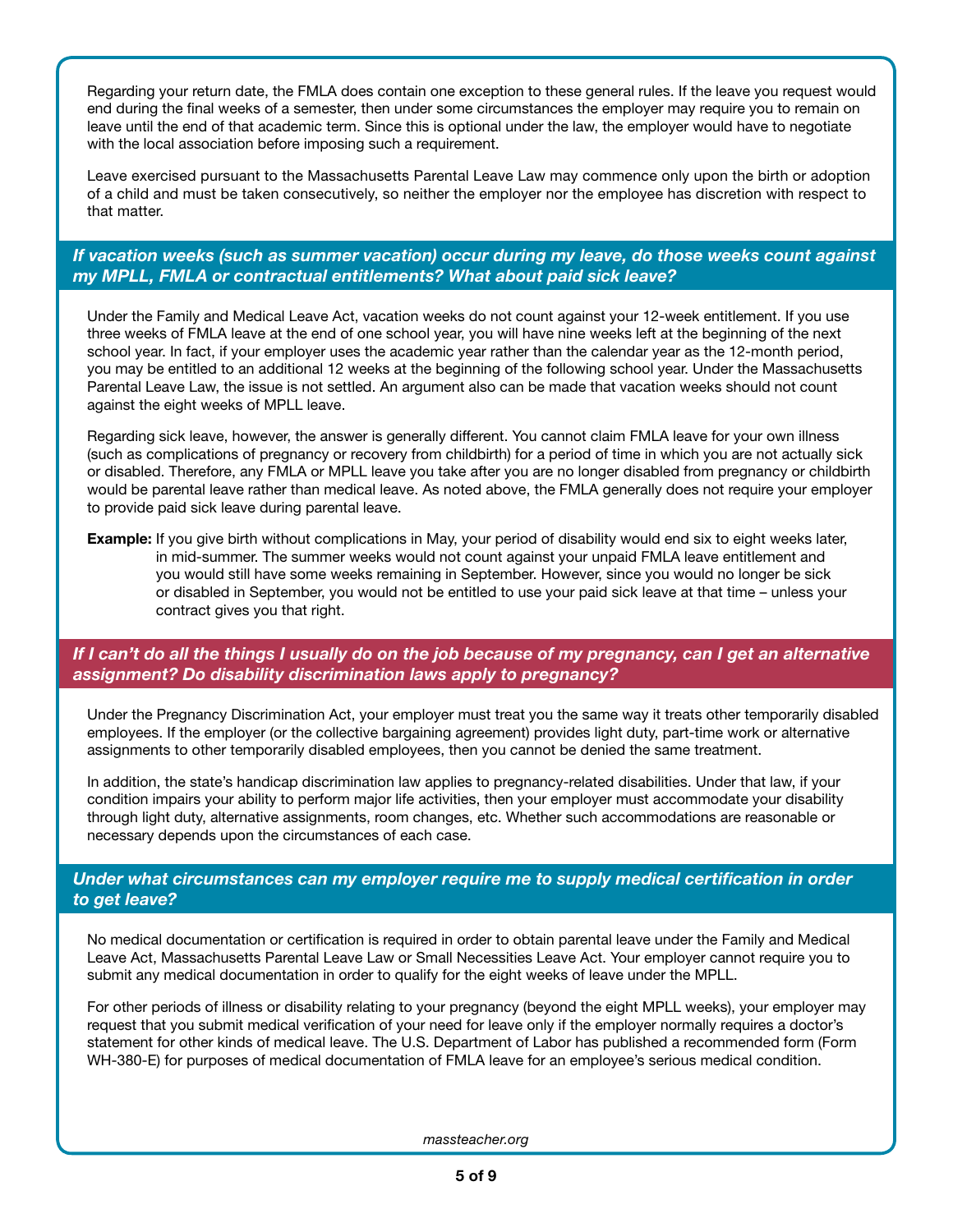Regarding your return date, the FMLA does contain one exception to these general rules. If the leave you request would end during the final weeks of a semester, then under some circumstances the employer may require you to remain on leave until the end of that academic term. Since this is optional under the law, the employer would have to negotiate with the local association before imposing such a requirement.

Leave exercised pursuant to the Massachusetts Parental Leave Law may commence only upon the birth or adoption of a child and must be taken consecutively, so neither the employer nor the employee has discretion with respect to that matter.

## *If vacation weeks (such as summer vacation) occur during my leave, do those weeks count against my MPLL, FMLA or contractual entitlements? What about paid sick leave?*

Under the Family and Medical Leave Act, vacation weeks do not count against your 12-week entitlement. If you use three weeks of FMLA leave at the end of one school year, you will have nine weeks left at the beginning of the next school year. In fact, if your employer uses the academic year rather than the calendar year as the 12-month period, you may be entitled to an additional 12 weeks at the beginning of the following school year. Under the Massachusetts Parental Leave Law, the issue is not settled. An argument also can be made that vacation weeks should not count against the eight weeks of MPLL leave.

Regarding sick leave, however, the answer is generally different. You cannot claim FMLA leave for your own illness (such as complications of pregnancy or recovery from childbirth) for a period of time in which you are not actually sick or disabled. Therefore, any FMLA or MPLL leave you take after you are no longer disabled from pregnancy or childbirth would be parental leave rather than medical leave. As noted above, the FMLA generally does not require your employer to provide paid sick leave during parental leave.

**Example:** If you give birth without complications in May, your period of disability would end six to eight weeks later, in mid-summer. The summer weeks would not count against your unpaid FMLA leave entitlement and you would still have some weeks remaining in September. However, since you would no longer be sick or disabled in September, you would not be entitled to use your paid sick leave at that time – unless your contract gives you that right.

#### *If I can't do all the things I usually do on the job because of my pregnancy, can I get an alternative assignment? Do disability discrimination laws apply to pregnancy?*

Under the Pregnancy Discrimination Act, your employer must treat you the same way it treats other temporarily disabled employees. If the employer (or the collective bargaining agreement) provides light duty, part-time work or alternative assignments to other temporarily disabled employees, then you cannot be denied the same treatment.

In addition, the state's handicap discrimination law applies to pregnancy-related disabilities. Under that law, if your condition impairs your ability to perform major life activities, then your employer must accommodate your disability through light duty, alternative assignments, room changes, etc. Whether such accommodations are reasonable or necessary depends upon the circumstances of each case.

#### *Under what circumstances can my employer require me to supply medical certification in order to get leave?*

No medical documentation or certification is required in order to obtain parental leave under the Family and Medical Leave Act, Massachusetts Parental Leave Law or Small Necessities Leave Act. Your employer cannot require you to submit any medical documentation in order to qualify for the eight weeks of leave under the MPLL.

For other periods of illness or disability relating to your pregnancy (beyond the eight MPLL weeks), your employer may request that you submit medical verification of your need for leave only if the employer normally requires a doctor's statement for other kinds of medical leave. The U.S. Department of Labor has published a recommended form (Form WH-380-E) for purposes of medical documentation of FMLA leave for an employee's serious medical condition.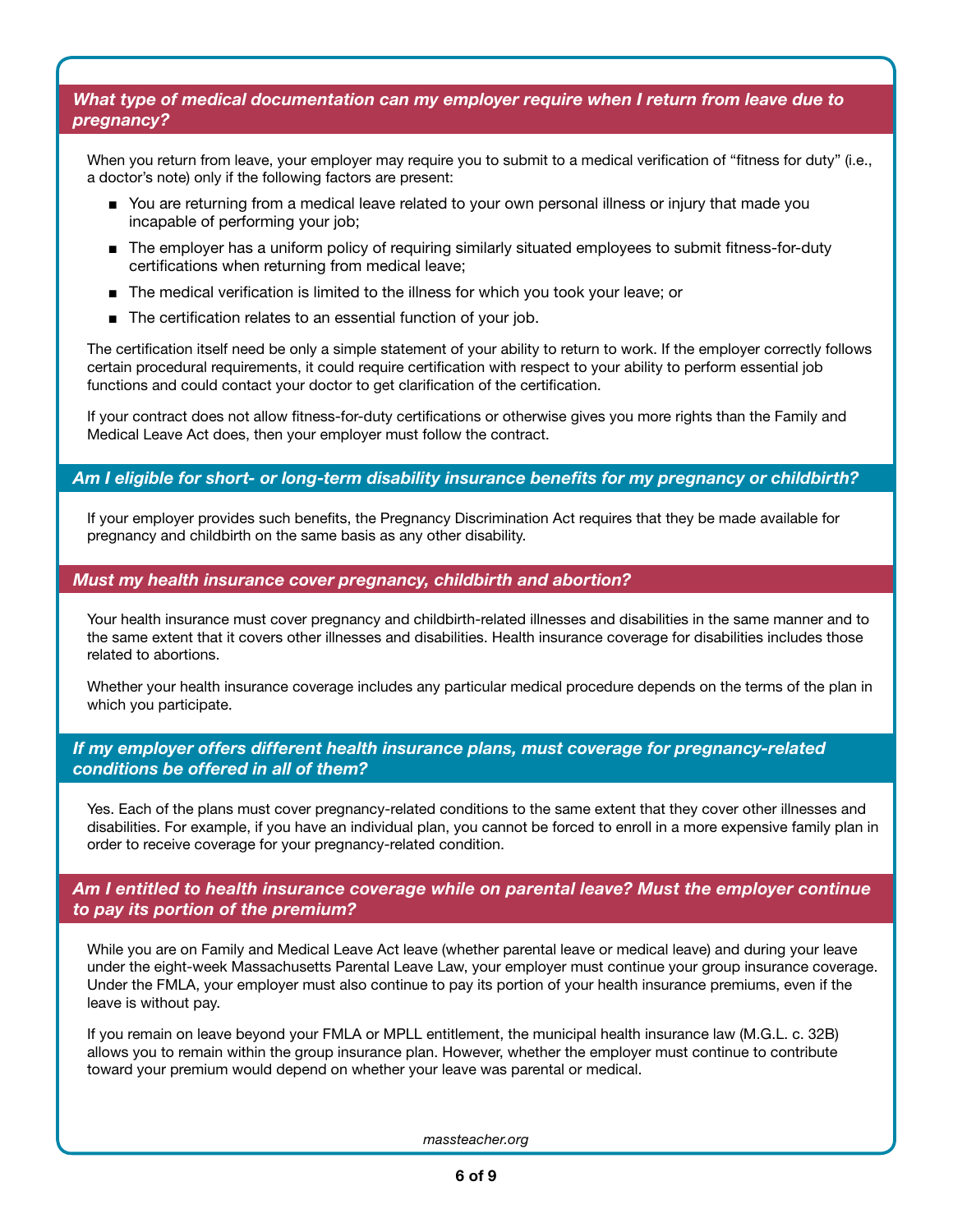#### *What type of medical documentation can my employer require when I return from leave due to pregnancy?*

When you return from leave, your employer may require you to submit to a medical verification of "fitness for duty" (i.e., a doctor's note) only if the following factors are present:

- You are returning from a medical leave related to your own personal illness or injury that made you incapable of performing your job;
- The employer has a uniform policy of requiring similarly situated employees to submit fitness-for-duty certifications when returning from medical leave;
- The medical verification is limited to the illness for which you took your leave; or
- The certification relates to an essential function of your job.

The certification itself need be only a simple statement of your ability to return to work. If the employer correctly follows certain procedural requirements, it could require certification with respect to your ability to perform essential job functions and could contact your doctor to get clarification of the certification.

If your contract does not allow fitness-for-duty certifications or otherwise gives you more rights than the Family and Medical Leave Act does, then your employer must follow the contract.

#### *Am I eligible for short- or long-term disability insurance benefits for my pregnancy or childbirth?*

If your employer provides such benefits, the Pregnancy Discrimination Act requires that they be made available for pregnancy and childbirth on the same basis as any other disability.

#### *Must my health insurance cover pregnancy, childbirth and abortion?*

Your health insurance must cover pregnancy and childbirth-related illnesses and disabilities in the same manner and to the same extent that it covers other illnesses and disabilities. Health insurance coverage for disabilities includes those related to abortions.

Whether your health insurance coverage includes any particular medical procedure depends on the terms of the plan in which you participate.

#### *If my employer offers different health insurance plans, must coverage for pregnancy-related conditions be offered in all of them?*

Yes. Each of the plans must cover pregnancy-related conditions to the same extent that they cover other illnesses and disabilities. For example, if you have an individual plan, you cannot be forced to enroll in a more expensive family plan in order to receive coverage for your pregnancy-related condition.

#### *Am I entitled to health insurance coverage while on parental leave? Must the employer continue to pay its portion of the premium?*

While you are on Family and Medical Leave Act leave (whether parental leave or medical leave) and during your leave under the eight-week Massachusetts Parental Leave Law, your employer must continue your group insurance coverage. Under the FMLA, your employer must also continue to pay its portion of your health insurance premiums, even if the leave is without pay.

If you remain on leave beyond your FMLA or MPLL entitlement, the municipal health insurance law (M.G.L. c. 32B) allows you to remain within the group insurance plan. However, whether the employer must continue to contribute toward your premium would depend on whether your leave was parental or medical.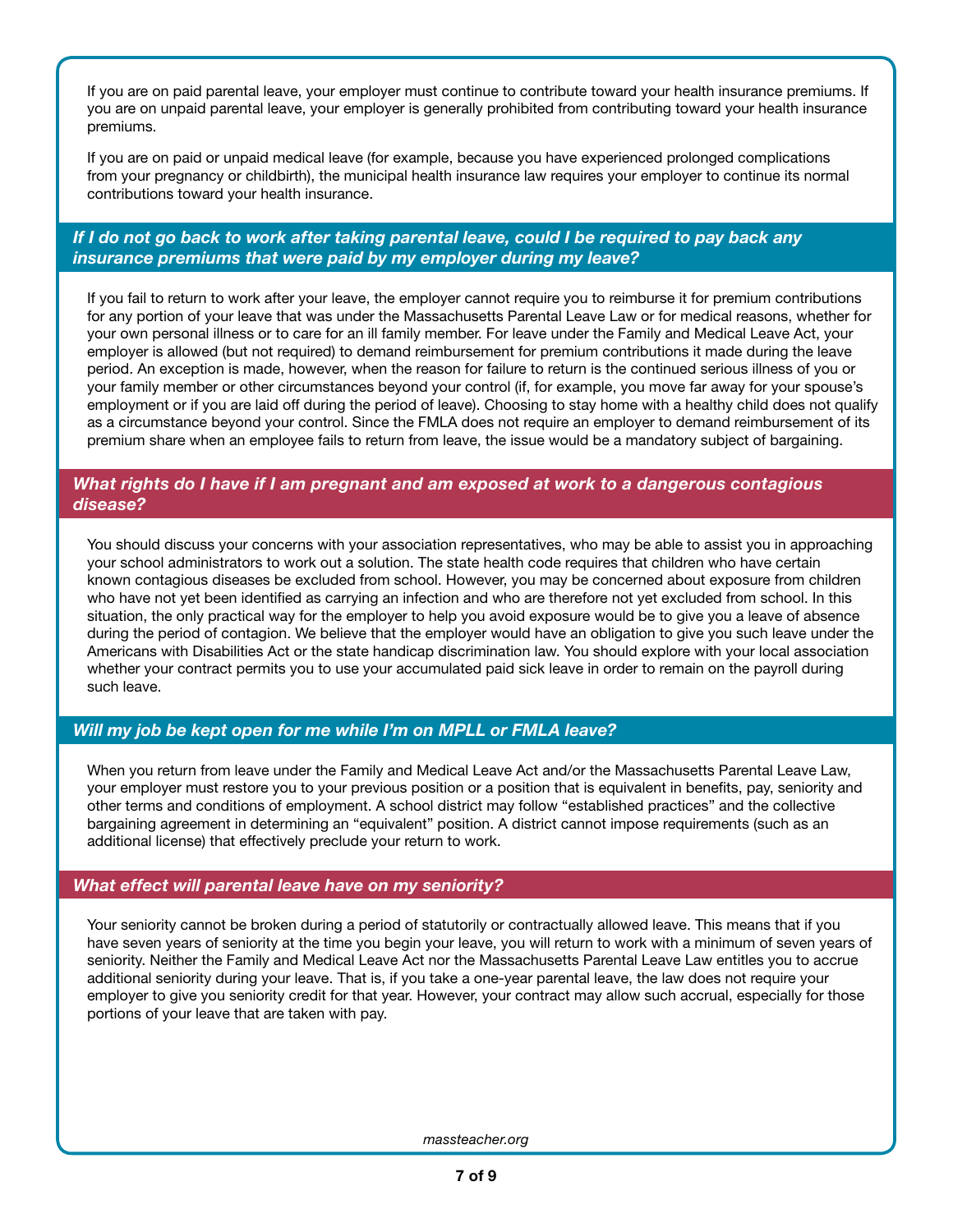If you are on paid parental leave, your employer must continue to contribute toward your health insurance premiums. If you are on unpaid parental leave, your employer is generally prohibited from contributing toward your health insurance premiums.

If you are on paid or unpaid medical leave (for example, because you have experienced prolonged complications from your pregnancy or childbirth), the municipal health insurance law requires your employer to continue its normal contributions toward your health insurance.

## *If I do not go back to work after taking parental leave, could I be required to pay back any insurance premiums that were paid by my employer during my leave?*

If you fail to return to work after your leave, the employer cannot require you to reimburse it for premium contributions for any portion of your leave that was under the Massachusetts Parental Leave Law or for medical reasons, whether for your own personal illness or to care for an ill family member. For leave under the Family and Medical Leave Act, your employer is allowed (but not required) to demand reimbursement for premium contributions it made during the leave period. An exception is made, however, when the reason for failure to return is the continued serious illness of you or your family member or other circumstances beyond your control (if, for example, you move far away for your spouse's employment or if you are laid off during the period of leave). Choosing to stay home with a healthy child does not qualify as a circumstance beyond your control. Since the FMLA does not require an employer to demand reimbursement of its premium share when an employee fails to return from leave, the issue would be a mandatory subject of bargaining.

## *What rights do I have if I am pregnant and am exposed at work to a dangerous contagious disease?*

You should discuss your concerns with your association representatives, who may be able to assist you in approaching your school administrators to work out a solution. The state health code requires that children who have certain known contagious diseases be excluded from school. However, you may be concerned about exposure from children who have not yet been identified as carrying an infection and who are therefore not yet excluded from school. In this situation, the only practical way for the employer to help you avoid exposure would be to give you a leave of absence during the period of contagion. We believe that the employer would have an obligation to give you such leave under the Americans with Disabilities Act or the state handicap discrimination law. You should explore with your local association whether your contract permits you to use your accumulated paid sick leave in order to remain on the payroll during such leave.

## *Will my job be kept open for me while I'm on MPLL or FMLA leave?*

When you return from leave under the Family and Medical Leave Act and/or the Massachusetts Parental Leave Law, your employer must restore you to your previous position or a position that is equivalent in benefits, pay, seniority and other terms and conditions of employment. A school district may follow "established practices" and the collective bargaining agreement in determining an "equivalent" position. A district cannot impose requirements (such as an additional license) that effectively preclude your return to work.

#### *What effect will parental leave have on my seniority?*

Your seniority cannot be broken during a period of statutorily or contractually allowed leave. This means that if you have seven years of seniority at the time you begin your leave, you will return to work with a minimum of seven years of seniority. Neither the Family and Medical Leave Act nor the Massachusetts Parental Leave Law entitles you to accrue additional seniority during your leave. That is, if you take a one-year parental leave, the law does not require your employer to give you seniority credit for that year. However, your contract may allow such accrual, especially for those portions of your leave that are taken with pay.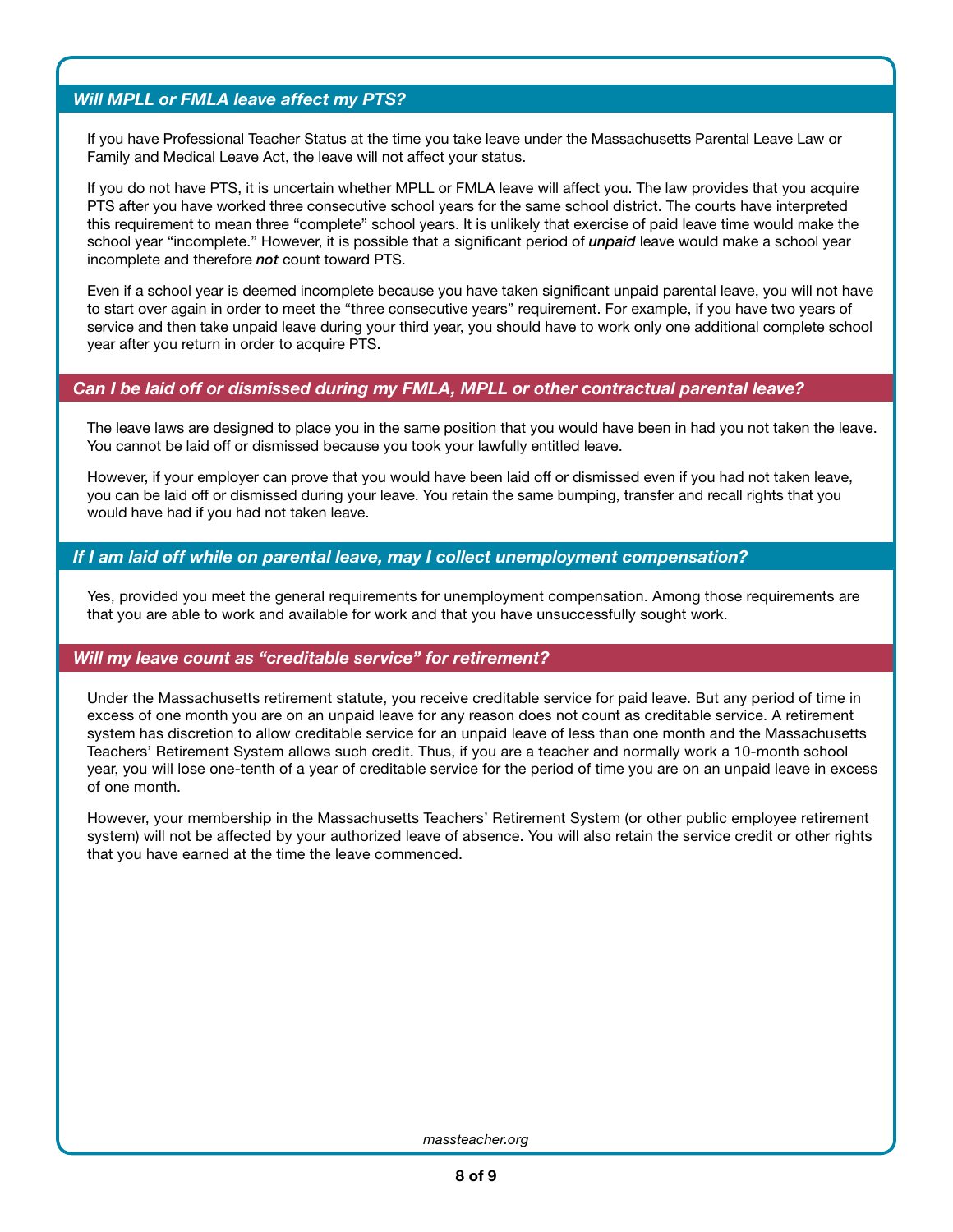## *Will MPLL or FMLA leave affect my PTS?*

If you have Professional Teacher Status at the time you take leave under the Massachusetts Parental Leave Law or Family and Medical Leave Act, the leave will not affect your status.

If you do not have PTS, it is uncertain whether MPLL or FMLA leave will affect you. The law provides that you acquire PTS after you have worked three consecutive school years for the same school district. The courts have interpreted this requirement to mean three "complete" school years. It is unlikely that exercise of paid leave time would make the school year "incomplete." However, it is possible that a significant period of *unpaid* leave would make a school year incomplete and therefore *not* count toward PTS.

Even if a school year is deemed incomplete because you have taken significant unpaid parental leave, you will not have to start over again in order to meet the "three consecutive years" requirement. For example, if you have two years of service and then take unpaid leave during your third year, you should have to work only one additional complete school year after you return in order to acquire PTS.

#### *Can I be laid off or dismissed during my FMLA, MPLL or other contractual parental leave?*

The leave laws are designed to place you in the same position that you would have been in had you not taken the leave. You cannot be laid off or dismissed because you took your lawfully entitled leave.

However, if your employer can prove that you would have been laid off or dismissed even if you had not taken leave, you can be laid off or dismissed during your leave. You retain the same bumping, transfer and recall rights that you would have had if you had not taken leave.

#### *If I am laid off while on parental leave, may I collect unemployment compensation?*

Yes, provided you meet the general requirements for unemployment compensation. Among those requirements are that you are able to work and available for work and that you have unsuccessfully sought work.

#### *Will my leave count as "creditable service" for retirement?*

Under the Massachusetts retirement statute, you receive creditable service for paid leave. But any period of time in excess of one month you are on an unpaid leave for any reason does not count as creditable service. A retirement system has discretion to allow creditable service for an unpaid leave of less than one month and the Massachusetts Teachers' Retirement System allows such credit. Thus, if you are a teacher and normally work a 10-month school year, you will lose one-tenth of a year of creditable service for the period of time you are on an unpaid leave in excess of one month.

However, your membership in the Massachusetts Teachers' Retirement System (or other public employee retirement system) will not be affected by your authorized leave of absence. You will also retain the service credit or other rights that you have earned at the time the leave commenced.